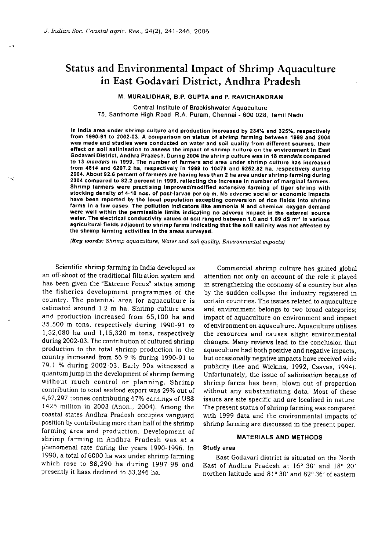# Status and Environmental Impact of Shrimp Aquaculture in East Godavari District, Andhra Pradesh

## M. MURALIDHAR, B.P. GUPTA and P. RAVICHANDRAN

Central Institute of Brackishwater Aquaculture 75. Santhome High Road, R.A. Puram, Chennai - 600 028, Tamil Nadu

In India area under shrimp culture and production increased by 234% and 325%, respectively from 1990-91 to 2002-03. A comparison on status of shrimp farming between 1999 and 2004 was made and studies wore conducted on water and soil quality from different sources, their ®flect on soil salinisation to assess the impact of shrimp culture on the environment in East Godavari District, Andhra Pradesh. During 2004 the shrimp culture was in 18 mandals compared to 13 mandals in 1999. The number of farmers and area under shrimp culture has increased from 4814 and 6207.2 ha, respectively in 1999 to 10479 and 9252.82 ha, respectively during 2004. About 92.6 percent of farmers are having less than 2 ha area under shrimp farming during 2004 compared to 82.2 percent in 1999, reflecting the increase in number of marginal farmers. Shrimp farmers were practising improved/modified extensive farming of tiger shrimp with stocking density of 4-10 nos. of post-larvae per sq m. No adverse social or economic impacts have been reported by the local population excepting conversion of rice fields into shrimp farms in a few cases. The pollution indicators like ammonia N and chemical oxygen demand were well within the permissible limits indicating no adverse impact in the external source water. The electrical conductivity values of soil ranged between 1.0 and 1.89 dS m<sup>-1</sup> in various agricultural fields adjacent to shrimp farms indicating that the soil salinity was not affected by the shrimp farming activities in the areas surveyod.

(Key words: Shrimp aquaculture, Water and soil quality, Environmental impacts)

Scientific shrimp farming in India developed as an off-shoot of the traditional filtration system and has been given the "Extreme Focus" status among the fisheries development programmes of the country. The potential area for aquaculture is estimated around 1.2 m ha. Shrimp culture area and production increased from 65,loo ha and 35,500 in tons, respectively during 1990-91 to  $1,52,080$  ha and  $1,15,320$  m tons, respectively during 2002-03. The contribution of cultured shrimp production to the total shrimp production in the country increased from 56.9 % during 1990-91 to 79.1 % during 2002-03. Early 90s witnessed a quantum Jump in the development of shrimp farming without much control or planning. Shrimp contribution to total seafood export was 29% out of 4,67,297 tonnes contributing 67% earnings of US\$ 1425 million in 2003 (Anon., 2004). Among the coastal states Andhra Pradesh occupies vanguard position by contributing more than half of the shrimp farming area and production. Development of shrimp farming in Andhra Pradesh was at a phenomenal rate during the years 1990-1996. In 1990, a total of 6000 ha was under shrimp farming which rose to 88,290 ha during 1997-98 and presently it hass declined to 53,246 ha.

Commercial shrimp culture has gained global attention not only on account of the role it played in strengthening the economy of a country but also by the sudden collapse the industry registered in certain countries. The issues related to aquaculture and environment belongs to two broad categories; impact of aquaculture on environment and impact of environment on aquaculture. Aquaculture utilises the resources and causes slight environmental changes. Many reviews lead to the conclusion that aquaculture had both positive and negative impacts, but occasionally negative impacts have received wide publicity (Lee and Wickins, 1992, Csavas, 1994). Unfortunately, the issue of salinisation because of shrimp farms has been, blown out of proportion without any substantiating data. Most of these issues are site specific and are localised in nature, The present status of shrimp farming was compared with 1999 data and the environmental impacts of shrimp farming are discussed in the present paper.

## **MATERIALS AND METHODS**

## Study area

Bast Godavari district is situated on the North East of Andhra Pradesh at  $16^{\circ}$  30' and  $18^{\circ}$  20' northen latitude and 81° 30' and 82° 36' of eastern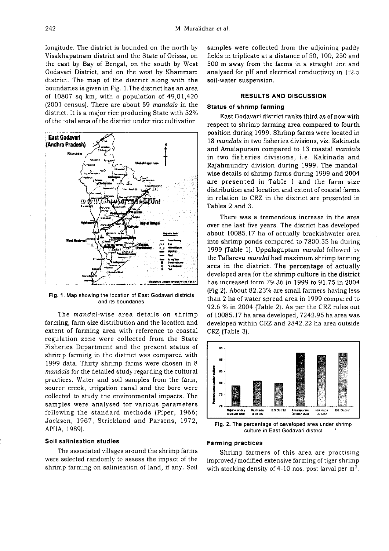longitude. The district is bounded on the north by Visakhapatnam district and the State of Orissa, on the east by Bay of Bengal, on the south by West Godavari District, and on the west by Khammam district. The map of the district along with the boundaries is given in Fig. 1.The district has an area of  $10807$  sq km, with a population of  $49,01,420$ (2001 census). There are about 59 mandals in the district. It is a major rice producing State with 52% of the total area of the district under rice cultivation.



Fig.1. Map showing the location of East Godavari districts and its boundaries

The mandal-wise area details on shrimp farming, farm size distribution and the location and extent of farming area with reference to coastal regulation zone were collected from the State Fisheries Department and the present status of shrimp farming in the district was compared with 1999 data. Thirty shrimp farms were chosen in 8 mandals for the detailed study regarding the cultural practices. Water and soil samples from the farm, source creek, irrigation canal and the bore were collected to study the environmental impacts. The samples were analysed for various parameters following the standard methods (Piper, 1966; Jackson, 1967, Strickland and Parsons, 1972, APHA, 1989).

## Soil salinisation studies

The associated villages around the shrimp farms were selected randomly to assess the impact of the shrimp farming on salinisation of land, if any. Soil samples were collected from the adjoining paddy fields in triplicate at a distance of 50, loo, 250 and 500 m away from the farms in a straight line and analysed for pH and electrical conductivity in 1:2.5 soil-water suspension.

## RESULTS AND DISCUSSION

## Status of shrimp farming

East Godavari district ranks third as of now with respect to shrimp farming area compared to fourth position during 1999. Shrimp farms were located in 18 mandals in two fisheries divisions, viz. Kakinada and Amalapuram compared to 13 coastal mandals in two fisheries divisions, i.e. Kakinada and Rajahmundry division during 1999. The mandalwise details of shrimp farms during 1999 and 2004 are presented in Table 1 and the farm size distribution and location and extent of coastal farms in relation to CRZ in the district are presented in Tables 2 and 3.

There was a tremendous increase in the area over the last five years. The district has developed about 10085.17 ha of actually brackishwater area into shrimp ponds compared to 7800.55 ha during 1999 (Table 1). Uppalaguptam *mandal* followed by the Tallarevu mandal had maximum shrimp farming area in the district. The percentage of actually developed area for the shrimp culture in the district has Increased form 79.36 in 1999 to 91.75 in 2004 (Fig.2). About 82.23% are small farmers having less than 2 ha of water spread area in 1999 compared to 92.6  $%$  in 2004 (Table 2). As per the CRZ rules out of 10085.17 ha area developed, 7242.95 ha area was developed within CRZ and 2842.22 ha area outside CRZ (Table 3).



Fig. 2. The percentage of developed area under shrimp culture in East Godavari district

## Farming practices

Shrimp farmers of this area are practising improved/ modified extensive farming of tiger shrimp with stocking density of 4-10 nos. post larval per  $m<sup>2</sup>$ .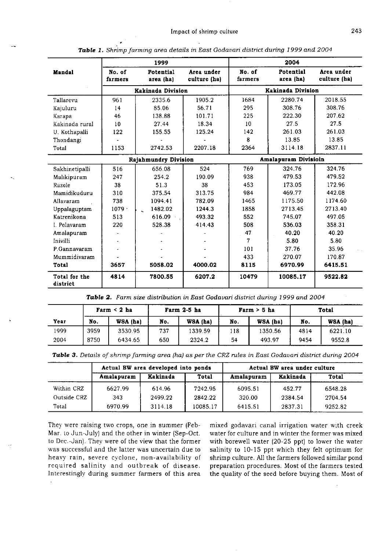|                           | 1999                 |                          |                            | 2004                 |                        |                            |  |  |
|---------------------------|----------------------|--------------------------|----------------------------|----------------------|------------------------|----------------------------|--|--|
| Mandal                    | No. of<br>farmers    | Potential<br>area (ha)   | Area under<br>culture (ha) | No. of<br>farmers    | Potential<br>area (ha) | Area under<br>culture (ha) |  |  |
|                           |                      | <b>Kakinada Division</b> |                            |                      | Kakinada Division      |                            |  |  |
| Tallarevu                 | 961                  | 2335.6                   | 1905.2                     | 1684                 | 2280 74                | 2018.55                    |  |  |
| Kajuluru                  | 14                   | 85.06                    | 56.71                      | 295                  | 308.76                 | 308.76                     |  |  |
| Karapa                    | 46                   | 138.88                   | 101.71                     | 225                  | 222.30                 | 207.62                     |  |  |
| Kakinada rural            | 10                   | 27.44                    | 18.34                      | 10 <sup>°</sup>      | 27.5                   | 27.5                       |  |  |
| U. Kothapalli             | 122                  | 155.55                   | 125.24                     | 142                  | 261.03                 | 261.03                     |  |  |
| Thondangi                 |                      |                          |                            | 8                    | 13.85                  | 13.85                      |  |  |
| Total                     | 1153                 | 2742.53                  | 2207.18                    | 2364                 | 3114 18                | 2837.11                    |  |  |
|                           | Rajahmundry Division |                          |                            | Amalapuram Divisioin |                        |                            |  |  |
| Sakhinetipalli            | 516                  | 656.08                   | 524                        | 769                  | 324.76                 | 324.76                     |  |  |
| Malikipuram               | 247                  | 254.2                    | 190 09                     | 938                  | 479.53                 | 479.52                     |  |  |
| Razole                    | 38                   | 51.3                     | 38                         | 453                  | 173.05                 | 172.96                     |  |  |
| Mamidikuduru              | 310                  | 375.54                   | 31375                      | 984                  | 469.77                 | 442.08                     |  |  |
| Allavaram                 | 738                  | 1094.41                  | 782.09                     | 1465                 | 1175.50                | 1174.60                    |  |  |
| Uppalaguptam              | $1079 -$             | 1482.02                  | 1244.3                     | 1858                 | 2713.45                | 2713.40                    |  |  |
| Katrenikona               | 513                  | 616.09                   | 493.32                     | 552                  | 745.07                 | 497.05                     |  |  |
| I. Polavaram              | 220                  | 528.38                   | 414.43                     | 508                  | 536.03                 | 358.31                     |  |  |
| Amalapuram                |                      |                          |                            | 47                   | 40.20                  | 40.20                      |  |  |
| Inivilli                  | ÷                    |                          |                            | 7                    | 5.80                   | 5.80                       |  |  |
| P.Gannavaram              |                      |                          |                            | 101                  | 37.76                  | 35.96                      |  |  |
| Mummidivaram              |                      |                          |                            | 433                  | 270.07                 | 170.87                     |  |  |
| Total                     | 3657                 | 5058.02                  | 4000.02                    | 8115                 | 6970.99                | 6415.51                    |  |  |
| Total for the<br>district | 4814                 | 7800.55                  | 6207.2                     | 10479                | 10085.17               | 9522.82                    |  |  |

Table 1. Shrimp farming area details in East Godavari district during 1999 and 2004

Table 2. Farm size distribution in East Godavari district during 1999 and 2004

|      |      | Farm $< 2$ ha |     | Farm 2-5 ha |     | Farm > 5 ha | Total |          |
|------|------|---------------|-----|-------------|-----|-------------|-------|----------|
| Year | No.  | WSA (ha)      | No. | WSA (ha)    | No. | WSA (ha)    | No.   | WSA (ha) |
| 1999 | 3959 | 3530.95       | 737 | 1339.59     | 118 | 1350.56     | 4814  | 6221.10  |
| 2004 | 8750 | 6434.65       | 650 | 2324.2      | 54  | 493.97      | 9454  | 9552.8   |

Table 3. Details of shrimp farming area (ha) as per the CRZ rules in East Godavari district during 2004

|             |            | Actual BW area developed into ponds |          | Actual BW area under culture |          |         |  |
|-------------|------------|-------------------------------------|----------|------------------------------|----------|---------|--|
|             | Amalapuram | Kakinada                            | Total    | Amalapuram                   | Kakinada | Total   |  |
| Within CRZ  | 6627.99    | 614.96                              | 7242.95  | 6095.51                      | 452.77   | 6548.28 |  |
| Outside CRZ | 343        | 2499.22                             | 2842.22  | 320.00                       | 2384.54  | 2704.54 |  |
| Total       | 6970.99    | 3114.18                             | 10085.17 | 6415.51                      | 2837.31  | 9252.82 |  |

They were raising two crops, one in summer (Feb-Mar. to Jun-July) and the other in winter (Sep-Oct. to Dec.-Jan). They were of the view that the former was successful and the latter was uncertain due to heavy rain, severe cyclone, non-availability of rcquired salinity and outbreak of disease. Intcrestingly during summer farmers of this area mixed godavari canal irrigation water with creek water for culture and in winter the former was mixed with borewell water (20-25 ppt) to lower the water salinity to 10-15 ppt which they felt optimum for shrimp culture. All the farmers followed similar pond preparation procedures. Most of the farmers tested the quality of the seed before buying them. Most of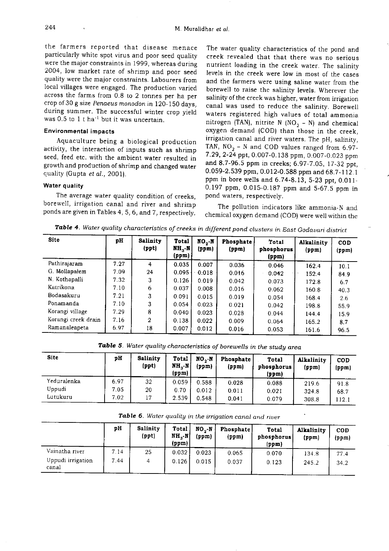the farmers reported that disease menace particularly white spot virus and poor seed quality were the major constraints in 1999, whereas during 2004, low market rate of shrimp and poor seed quality were the major constraints. Labourers from local villages were engaged. The production varied across the farms from 0.8 to 2 tonnes per ha per crop of 30 g size Penaeus monodon in 120-150 days. during summer. The successful winter crop yield was 0.5 to  $1$  t ha<sup>-1</sup> but it was uncertain.

## Environmental impacts

Aquaculture being a biological production activity, the interaction of inputs such as shrimp seed, feed etc. with the ambient water resulted in growth and production of shrimp and changed water quality (Gupta et al., 2001).

## Water quality

The average water quality condition of creeks, borewell, irrigation canal and river and shrimp ponds are given in Tables 4, 5, 6, and 7, respectively.

The water quality characteristics of the pond and creek revealed that that there was no serious nutrient loading in the creek water The salinity levels in the creek were low in most of the cases and the farmers were using saline water from the borewell to raise the salinity levels. Wherever the salinity of the creek was higher, water from irrigation canal was used to reduce the salinity. Borewell waters registered high values of total ammonia nitrogen (TAN), nitrite N (NO<sub>2</sub> - N) and chemical oxygen demand (COD) than those in the creek, irrigation canal and river waters. The pH, salinity, TAN,  $NO_2 - N$  and COD values ranged from 6.97-7.29, 2-24 ppt, 0.007-0.138 ppm, 0.007-0.023 ppm and 8.7-96.5 ppm in creeks; 6.97-7.05,17-32 ppt, 0.059-2.539 ppm, 0.012-0.588 ppm and 68.7-112.1 ppm in bore wells and 6.74-8.13, 5-23 ppt, 0 011- 0.197 ppm, 0.015-0187 ppm and 5-67.5 ppm in pond waters, respectively.

The pollution indicators like ammonia-N and chemical oxygen demand (COD) were well within the

Table 4. Water quality characteristics of creeks in different pond clusters in East Godavari district

| <b>Site</b>         | pH   | <b>Salinity</b><br>(ppt) | <b>Total</b><br>NH N<br>(ppm) | $NO2 \cdot N$<br>(ppm) | <b>Phosphate</b><br>(ppm) | Total<br>phosphorus<br>(ppm) | Alkalinity<br>(ppm) | COD<br>(ppm) |
|---------------------|------|--------------------------|-------------------------------|------------------------|---------------------------|------------------------------|---------------------|--------------|
| Pathirajaram        | 7.27 | 4                        | 0.035                         | 0.007                  | 0.036                     | 0.046                        | 162.4               | 10.1         |
| G. Mollapalem       | 7.09 | 24                       | 0.095                         | 0.018                  | 0.016                     | 0.042                        | 152.4               | 84.9         |
| N. Kothapalli       | 7.32 | 3                        | 0.126                         | 0.019                  | 0.042                     | 0.073                        | 172.8               | 6.7          |
| Katrikona           | 7.10 | 6                        | 0.037                         | 0.008                  | 0.016                     | 0.062                        | 160.8               | 40.3         |
| Bodasakuru          | 7.21 | 3                        | 0.091                         | 0.015                  | 0.019                     | 0.054                        | 168.4               | 2.6          |
| Ponamanda           | 7.10 | 3                        | 0.054                         | 0.023                  | 0.021                     | 0.042                        | 198.8               | 55.9         |
| Korangi village     | 7.29 | 8                        | 0.040                         | 0.023                  | 0.028                     | 0.044                        | 144.4               | 15.9         |
| Korangi creek drain | 7.16 | 2                        | 0.138                         | 0.022                  | 0.009                     | 0.064                        | 165.2               | 8.7          |
| Ramanaleapeta       | 6.97 | 18                       | 0.007                         | 0.012                  | 0.016                     | 0.053                        | 161.6               | 96.5         |

Table 5. Water quality characteristics of borewells in the study area

| Site        | pH   | Salinity<br>(ppt) | Total<br>NH.-N<br>(ppm) | $NO - N$<br>(ppm) | Phosphate<br>(ppm) | Total<br>phosphorus<br>(ppm) | Alkalinity<br>(ppm) | COD<br>(ppm) |
|-------------|------|-------------------|-------------------------|-------------------|--------------------|------------------------------|---------------------|--------------|
| Yeduralenka | 6.97 | 32                | 0.059                   | 0.588             | 0.028              | 0.088                        | 219.6               | 91.8         |
| Uppudi      | 7.05 | 20                | 0.70                    | 0.012             | 0.011              | 0.021                        | 324.8               | 68.7         |
| Lutukuru    | 7.02 | 17                | 2.539                   | 0.548             | 0.041              | 0.079                        | 308.8               | 112.1        |

|                            | рH   | Salinity<br>(ppt) | Total<br>NH,-N<br>(ppm) | $NO-N$<br>(ppm) | Phosphate<br>(ppm) | Total<br>phosphorus<br>(ppm) | Alkalinity<br>(ppm) | <b>COD</b><br>(ppm) |
|----------------------------|------|-------------------|-------------------------|-----------------|--------------------|------------------------------|---------------------|---------------------|
| Vainatha river             | 7.14 | 25                | 0.032                   | 0.023           | 0.065              | 0.070                        | 134.8               | 77.4                |
| Uppudi irrigation<br>canal | .44  |                   | 0.126                   | 0.015           | 0.037              | 0.123                        | 245.2               | 34.2                |

Table 6. Water quality in the irrigation canal and river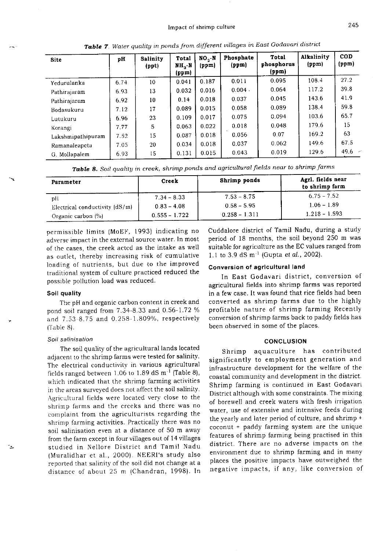| <b>Site</b>       | pH   | <b>Salinity</b><br>(ppt) | Total<br>MH, N<br>(ppm) | $NO2$ -N<br>(ppm) | Phosphate<br>(ppm) | Total<br>phosphorus<br>(ppm) | Alkalinity<br>(ppm) | <b>COD</b><br>(ppm) |
|-------------------|------|--------------------------|-------------------------|-------------------|--------------------|------------------------------|---------------------|---------------------|
| Yedurulanka       | 6.74 | 10                       | 0.041                   | 0.187             | 0.011              | 0.095                        | 1084                | 27.2                |
| Pathirajaram      | 6.93 | 13                       | 0.032                   | 0.016             | $0.004 -$          | 0.064                        | 117.2               | 39.8                |
| Pathirajaram      | 6.92 | 10                       | 0.14                    | 0.018             | 0.037              | 0.045                        | 143.6               | 419                 |
| Bodasukuru        | 7.12 | 17                       | 0.089                   | 0.015             | 0.058              | 0.089                        | 138.4               | 59.8                |
| Lutukuru          | 6.96 | 23                       | 0.109                   | 0.017             | 0.075              | 0.094                        | 103.6               | 65.7                |
| Korangi           | 7.77 | 5                        | 0.063                   | 0.022             | 0.018              | 0.048                        | 179.6               | 15                  |
| Lakshmipathipuram | 7.52 | 15                       | 0.087                   | 0.018             | 0.056              | 0.07                         | 169.2               | 63                  |
| Ramanaleapeta     | 7.05 | 20                       | 0.034                   | 0.018             | 0.037              | 0.062                        | 149.6               | 67.5                |
| G. Mollapalem     | 6.93 | 15                       | 0.131                   | 0.015             | 0.043              | 0.019                        | 129.6               | $49.6 -$            |

Table 7. Water quality in ponds from different villages in East Godavari district

| <b>Table 8.</b> Soil quality in creek, shrimp ponds and agricultural fields near to shrimp farms |  |  |  |  |
|--------------------------------------------------------------------------------------------------|--|--|--|--|
|--------------------------------------------------------------------------------------------------|--|--|--|--|

| Parameter                        | Creek           | Shrimp ponds     | Agrl. fields near<br>to shrimp farm |  |
|----------------------------------|-----------------|------------------|-------------------------------------|--|
| pH                               | $7.34 - 8.33$   | $7.53 - 8.75$    | $6.75 - 7.52$                       |  |
| Electrical conductivity $(dS/m)$ | $0.83 - 4.08$   | $0.58 - 5.95$    | $1.06 - 1.89$                       |  |
| Organic carbon (%)               | $0.555 - 1.722$ | $-0.258 - 1.311$ | $1.218 - 1.593$                     |  |

permissible limits (MoEF, 1993) indicating no adverse impact in the external source water. In most of the cases, the creek acted as the intake as well as outlet, thereby increasing risk of cumulative loading of nutrients, but due to the improved traditional system of culture practiced reduced the possible pollution load was reduced.

#### Soil quality

The pH and organic carbon content in creek and pond soil ranged from 7.34-8.33 and 0.56-1.72 % and 7.53-8.75 and 0.258-1.809%, respectively [Table 8].

#### Soil salinisation

٠.

The soil quality of the agricultural lands located adjacent to the shrimp farms were tested for salinity. The electrical conductivity in various agricultural fields ranged between 1.06 to 1.89 dS m<sup>-1</sup> (Table 8), which indicated that the shrimp farming activities in the areas surveyed does not affect the soil salinity. Agricultural fields were located very close to the shrimp farms and the creeks and there was no complaint from the agriculturists regarding the shrimp farming activities. Practically there was no soil salinisation even at a distance of 50 m away from the farm except in four villages out of 14 villages studied in Nellore District and Tamil Nadu (Muralidhar et al., 2000). NEERI's study also reported that salinity of the soil did not change at a distance of about 25 m (Chandran, 1998). In Cuddalore district of Tamil Nadu, during a study period of 18 months, the soil beyond 250 m was suitable for agriculture as the EC values ranged from 1.1 to 3.9 dS  $m^{-1}$  (Gupta *et al.*, 2002).

## Conversion of agricultural land

In East Godavari district, conversion of agricultural fields into shrimp farms was reported in a few case. It was found that rice fields had been converted as shrimp farms due to the highly profitable nature of shrimp farming Recently conversion of shrimp farms back to paddy fields has been observed in some of the places.

#### **CONCLUSION**

Shrimp aquaculture has contributed significantly to employment generation and infrastructure development for the welfare of the coastal community and development in the district. Shrimp farming is continued in East Godavari District although with some constraints. The mixing of borewell and creek waters with fresh irrigation water, use of extensive and intensive feeds during the yearly and later period of culture, and shrimp + coconut + paddy farming system are the unique features of shrimp farming being practised in this district. There are no adverse impacts on the environment due to shrimp farming and in many places the positive impacts have outweighed the negative impacts, if any, like conversion of